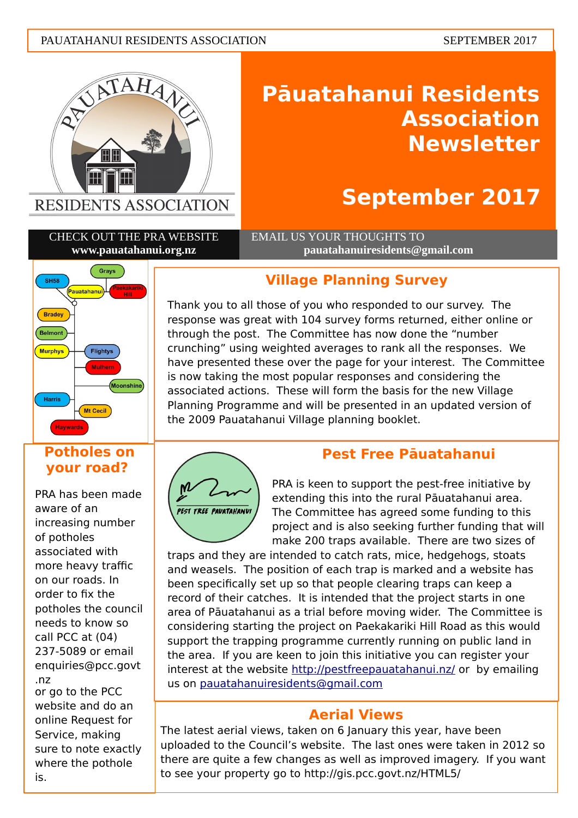#### PAUATAHANUI RESIDENTS ASSOCIATION SEPTEMBER 2017



# **Pāuatahanui Residents Association Newsletter**

# **September 2017**

CHECK OUT THE PRA WEBSITE **www.pauatahanui.org.nz**

 EMAIL US YOUR THOUGHTS TO **pauatahanuiresidents@gmail.com**



### **Potholes on your road?**

PRA has been made aware of an increasing number of potholes associated with more heavy traffic on our roads. In order to fix the potholes the council needs to know so call PCC at (04) 237-5089 or email [enquiries@pcc.govt](mailto:enquiries@pcc.govt.nz) [.nz](mailto:enquiries@pcc.govt.nz)

or go to the PCC website and do an online Request for Service, making sure to note exactly where the pothole is.

## **Village Planning Survey**

Thank you to all those of you who responded to our survey. The response was great with 104 survey forms returned, either online or through the post. The Committee has now done the "number crunching" using weighted averages to rank all the responses. We have presented these over the page for your interest. The Committee is now taking the most popular responses and considering the associated actions. These will form the basis for the new Village Planning Programme and will be presented in an updated version of the 2009 Pauatahanui Village planning booklet.



# **Pest Free Pāuatahanui**

PRA is keen to support the pest-free initiative by extending this into the rural Pāuatahanui area. The Committee has agreed some funding to this project and is also seeking further funding that will make 200 traps available. There are two sizes of

traps and they are intended to catch rats, mice, hedgehogs, stoats and weasels. The position of each trap is marked and a website has been specifically set up so that people clearing traps can keep a record of their catches. It is intended that the project starts in one area of Pāuatahanui as a trial before moving wider. The Committee is considering starting the project on Paekakariki Hill Road as this would support the trapping programme currently running on public land in the area. If you are keen to join this initiative you can register your interest at the website<http://pestfreepauatahanui.nz/>or by emailing us on [pauatahanuiresidents@gmail.com](mailto:pauatahanuiresidents@gmail.com)

## **Aerial Views**

The latest aerial views, taken on 6 January this year, have been uploaded to the Council's website. The last ones were taken in 2012 so there are quite a few changes as well as improved imagery. If you want to see your property go to http://gis.pcc.govt.nz/HTML5/